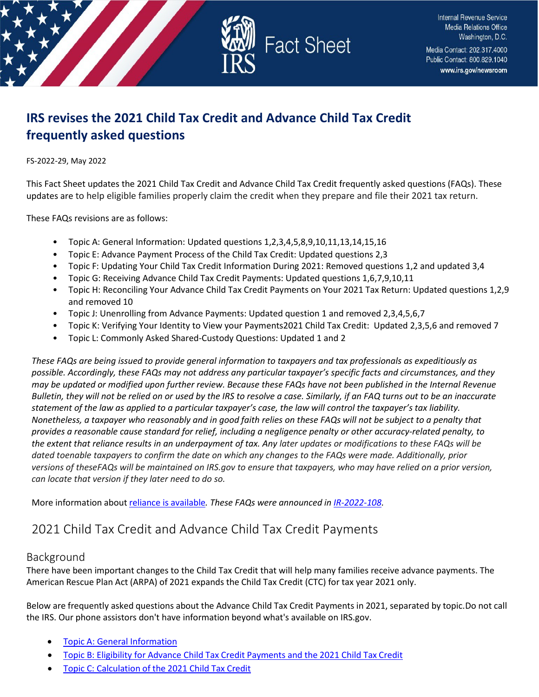

# **IRS revises the 2021 Child Tax Credit and Advance Child Tax Credit frequently asked questions**

#### FS-2022-29, May 2022

This Fact Sheet updates the 2021 Child Tax Credit and Advance Child Tax Credit frequently asked questions (FAQs). These updates are to help eligible families properly claim the credit when they prepare and file their 2021 tax return.

These FAQs revisions are as follows:

- Topic A: General Information: Updated questions 1,2,3,4,5,8,9,10,11,13,14,15,16
- Topic E: Advance Payment Process of the Child Tax Credit: Updated questions 2,3
- Topic F: Updating Your Child Tax Credit Information During 2021: Removed questions 1,2 and updated 3,4
- Topic G: Receiving Advance Child Tax Credit Payments: Updated questions 1,6,7,9,10,11
- Topic H: Reconciling Your Advance Child Tax Credit Payments on Your 2021 Tax Return: Updated questions 1,2,92 and removed 10
- Topic J: Unenrolling from Advance Payments: Updated question 1 and removed 2,3,4,5,6,7
- Topic K: Verifying Your Identity to View your KWOWER Updated 2,3,5,6 and removed 7
- Topic L: Commonly Asked Shared-Custody Questions: Updated 1 and 2

*These FAQs are being issued to provide general information to taxpayers and tax professionals as expeditiously as possible. Accordingly, these FAQs may not address any particular taxpayer's specific facts and circumstances, and they may be updated or modified upon further review. Because these FAQs have not been published in the Internal Revenue Bulletin, they will not be relied on or used by the IRS to resolve a case. Similarly, if an FAQ turns out to be an inaccurate statement of the law as applied to a particular taxpayer's case, the law will control the taxpayer's tax liability. Nonetheless, a taxpayer who reasonably and in good faith relies on these FAQs will not be subject to a penalty that provides a reasonable cause standard for relief, including a negligence penalty or other accuracy-related penalty, to the extent that reliance results in an underpayment of tax. Any later updates or modifications to these FAQs will be dated toenable taxpayers to confirm the date on which any changes to the FAQs were made. Additionally, prior versions of theseFAQs will be maintained on IRS.gov to ensure that taxpayers, who may have relied on a prior version, can locate that version if they later need to do so.*

More information about reliance is [available](https://www.irs.gov/newsroom/general-overview-of-taxpayer-reliance-on-guidance-published-in-the-internal-revenue-bulletin-and-faqs)*[.](https://www.irs.gov/newsroom/general-overview-of-taxpayer-reliance-on-guidance-published-in-the-internal-revenue-bulletin-and-faqs) These FAQs were announced in [IR-2022-108.](https://www.irs.gov/newsroom/irs-revises-2021-child-tax-credit-and-advance-child-tax-credit-frequently-asked-questions)* 

# 2021 Child Tax Credit and Advance Child Tax Credit Payments

# Background

There have been important changes to the Child Tax Credit that will help many families receive advance payments. The American Rescue Plan Act (ARPA) of 2021 expands the Child Tax Credit (CTC) for tax year 2021 only.

Below are frequently asked questions about the Advance Child Tax Credit Payments in 2021, separated by topic.Do not call the IRS. Our phone assistors don't have information beyond what's available on IRS.gov.

- **Topic A: General [Information](#page-1-0)**
- Topic B: Eligibility for Advance Child Tax Credit [Payments](#page-5-0) and the 2021 Child Tax Credit
- Topic [C: Calculation](#page-7-0) of the 2021 Child Tax Credit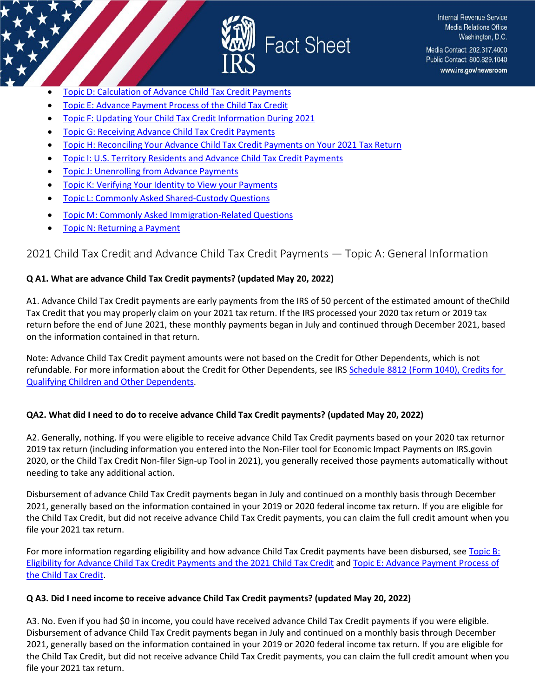

- Topic D: Calculation of [Advance Child](#page-8-0) Tax Credit Payments
- Topic [E: Advance](#page-9-0) Payment Process of the Child Tax Credit
- Topic F: Updating Your Child Tax Credit [Information](#page-10-0) During 2021
- Topic G: Receiving Advance Child Tax Credit [Payments](#page-11-0)
- Topic H: Reconciling Your [Advance Child](#page-13-0) Tax Credit Payments on Your 2021 Tax Return
- Topic I: U.S. Territory Residents and Advance Child Tax Credit [Payments](#page-16-0)
- Topic J: [Unenrolling](#page-17-0) from Advance Payments
- Topic [K: Verifying](#page-17-1) Your Identity to View your Payments
- Topic L: [Commonly](#page-18-0) Asked Shared-Custody [Questions](#page-18-0)
- Topic M: Commonly Asked [Immigration-R](#page-19-0)elated [Questions](#page-19-0)
- Topic N: [Returning a Payment](#page-20-0)

# <span id="page-1-0"></span>2021 Child Tax Credit and Advance Child Tax Credit Payments — Topic A: General Information

#### **Q A1. What are advance Child Tax Credit payments? (updated May 20, 2022)**

A1. Advance Child Tax Credit payments are early payments from the IRS of 50 percent of the estimated amount of theChild Tax Credit that you may properly claim on your 2021 tax return. If the IRS processed your 2020 tax return or 2019 tax return before the end of June 2021, these monthly payments began in July and continued through December 2021, based on the information contained in that return.

Note: Advance Child Tax Credit payment amounts were not based on the Credit for Other Dependents, which is not refundable. For more information about the Credit for Other Dependents, see IRS Schedule 8812 (Form 1040), Credits for [Qualifying Children and Other Dependents.](https://www.irs.gov/forms-pubs/about-schedule-8812-form-1040)

#### **QA2. What did I need to do to receive advance Child Tax Credit payments? (updated May 20, 2022)**

A2. Generally, nothing. If you were eligible to receive advance Child Tax Credit payments based on your 2020 tax returnor 2019 tax return (including information you entered into the Non-Filer tool for Economic Impact Payments on IRS.govin 2020, or the Child Tax Credit Non-filer Sign-up Tool in 2021), you generally received those payments automatically without needing to take any additional action.

Disbursement of advance Child Tax Credit payments began in July and continued on a monthly basis through December 2021, generally based on the information contained in your 2019 or 2020 federal income tax return. If you are eligible for the Child Tax Credit, but did not receive advance Child Tax Credit payments, you can claim the full credit amount when you file your 2021 tax return.

For more information regarding eligibility and how advance Child Tax Credit payments have been disbursed, se[e Topic B:](https://www.irs.gov/credits-deductions/2021-child-tax-credit-and-advance-child-tax-credit-payments-topic-b-eligibility-for-advance-child-tax-credit-payments-and-the-2021-child-tax-credit) [Eligibility for Advance Child Tax Credit Payments and the 2021 Child Tax Credit](https://www.irs.gov/credits-deductions/2021-child-tax-credit-and-advance-child-tax-credit-payments-topic-b-eligibility-for-advance-child-tax-credit-payments-and-the-2021-child-tax-credit) and [Topic E: Advance Payment Process of](https://www.irs.gov/credits-deductions/2021-child-tax-credit-and-advance-child-tax-credit-payments-topic-e-advance-payment-process-of-the-child-tax-credit) [the Child](https://www.irs.gov/credits-deductions/2021-child-tax-credit-and-advance-child-tax-credit-payments-topic-e-advance-payment-process-of-the-child-tax-credit) Tax Credit.

#### **Q A3. Did I need income to receive advance Child Tax Credit payments? (updated May 20, 2022)**

A3. No. Even if you had \$0 in income, you could have received advance Child Tax Credit payments if you were eligible. Disbursement of advance Child Tax Credit payments began in July and continued on a monthly basis through December 2021, generally based on the information contained in your 2019 or 2020 federal income tax return. If you are eligible for the Child Tax Credit, but did not receive advance Child Tax Credit payments, you can claim the full credit amount when you file your 2021 tax return.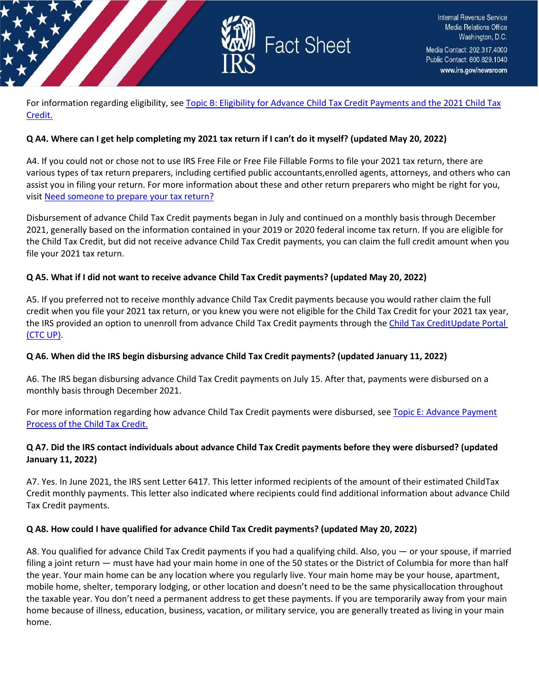

For information regarding eligibility, see Topic B: [Eligibility for Advance Child Tax Credit](https://www.irs.gov/credits-deductions/2021-child-tax-credit-and-advance-child-tax-credit-payments-topic-b-eligibility-for-advance-child-tax-credit-payments-and-the-2021-child-tax-credit) Payments and the 2021 Child Tax [Credit.](https://www.irs.gov/credits-deductions/2021-child-tax-credit-and-advance-child-tax-credit-payments-topic-b-eligibility-for-advance-child-tax-credit-payments-and-the-2021-child-tax-credit)

#### **Q A4. Where can I get help completing my 2021 tax return if I can't do it myself? (updated May 20, 2022)**

A4. If you could not or chose not to use IRS Free File or Free File Fillable Forms to file your 2021 tax return, there are various types of tax return preparers, including certified public accountants,enrolled agents, attorneys, and others who can assist you in filing your return. For more information about these and other return preparers who might be right for you, visit Need [someone](https://www.irs.gov/tax-professionals/choosing-a-tax-professional) to prepare your tax return?

Disbursement of advance Child Tax Credit payments began in July and continued on a monthly basis through December 2021, generally based on the information contained in your 2019 or 2020 federal income tax return. If you are eligible for the Child Tax Credit, but did not receive advance Child Tax Credit payments, you can claim the full credit amount when you file your 2021 tax return.

#### **Q A5. What if I did not want to receive advance Child Tax Credit payments? (updated May 20, 2022)**

A5. If you preferred not to receive monthly advance Child Tax Credit payments because you would rather claim the full credit when you file your 2021 tax return, or you knew you were not eligible for the Child Tax Credit for your 2021 tax year, the IRS provided an option to unenroll from advance Child Tax Credit payments through the Child Tax CreditUpdate Portal (CTC UP).

#### **Q A6. When did the IRS begin disbursing advance Child Tax Credit payments? (updated January 11, 2022)**

A6. The IRS began disbursing advance Child Tax Credit payments on July 15. After that, payments were disbursed on a monthly basis through December 2021.

For more information regarding how advance Child Tax Credit payments were disbursed, see [Topic E: Advance](https://www.irs.gov/credits-deductions/2021-child-tax-credit-and-advance-child-tax-credit-payments-topic-e-advance-payment-process-of-the-child-tax-credit) Payment [Process](https://www.irs.gov/credits-deductions/2021-child-tax-credit-and-advance-child-tax-credit-payments-topic-e-advance-payment-process-of-the-child-tax-credit) of the Child Tax Credit.

#### **Q A7. Did the IRS contact individuals about advance Child Tax Credit payments before they were disbursed? (updated January 11, 2022)**

A7. Yes. In June 2021, the IRS sent Letter 6417. This letter informed recipients of the amount of their estimated Child Tax Credit monthly payments. This letter also indicated where recipients could find additional information about advance Child Tax Credit payments.

#### **Q A8. How could I have qualified for advance Child Tax Credit payments? (updated May 20, 2022)**

A8. You qualified for advance Child Tax Credit payments if you had a qualifying child. Also, you — or your spouse, if married filing a joint return — must have had your main home in one of the 50 states or the District of Columbia for more than half the year. Your main home can be any location where you regularly live. Your main home may be your house, apartment, mobile home, shelter, temporary lodging, or other location and doesn't need to be the same physicallocation throughout the taxable year. You don't need a permanent address to get these payments. If you are temporarily away from your main home because of illness, education, business, vacation, or military service, you are generally treated as living in your main home.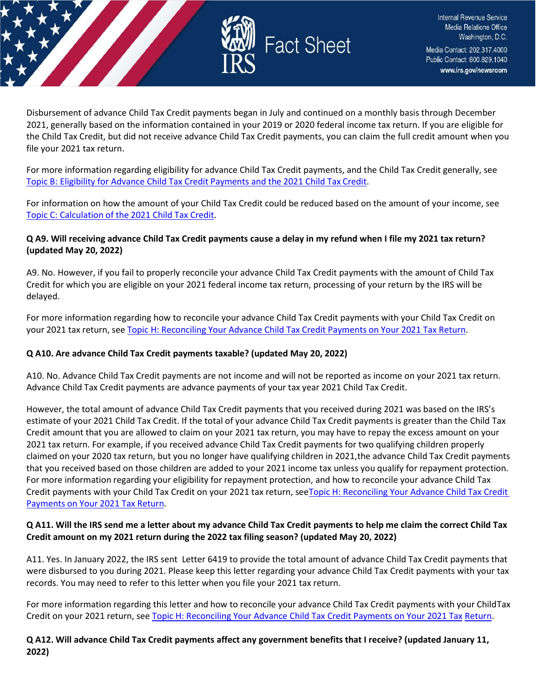

Disbursement of advance Child Tax Credit payments began in July and continued on a monthly basis through December 2021, generally based on the information contained in your 2019 or 2020 federal income tax return. If you are eligible for the Child Tax Credit, but did not receive advance Child Tax Credit payments, you can claim the full credit amount when you file your 2021 tax return.

For more information regarding eligibility for advance Child Tax Credit payments, and the Child Tax Credit generally, see [Topic B: Eligibility for Advance](https://www.irs.gov/credits-deductions/2021-child-tax-credit-and-advance-child-tax-credit-payments-topic-b-eligibility-for-advance-child-tax-credit-payments-and-the-2021-child-tax-credit) Child Tax Credit Paym[ents and](https://www.irs.gov/credits-deductions/2021-child-tax-credit-and-advance-child-tax-credit-payments-topic-b-eligibility-for-advance-child-tax-credit-payments-and-the-2021-child-tax-credit) the 2021 Child Tax Credit.

For information on how the amount of your Child Tax Credit could be reduced based on the amount of your income, see Topic C: [Calculation](https://www.irs.gov/credits-deductions/2021-child-tax-credit-and-advance-child-tax-credit-payments-topic-c-calculation-of-the-2021-child-tax-credit) of the 2021 Child Tax Credit.

### **Q A9. Will receiving advance Child Tax Credit payments cause a delay in my refund when I file my 2021 tax return? (updated May 20, 2022)**

A9. No. However, if you fail to properly reconcile your advance Child Tax Credit payments with the amount of Child Tax Credit for which you are eligible on your 2021 federal income tax return, processing of your return by the IRS will be delayed.

For more information regarding how to reconcile your advance Child Tax Credit payments with your Child Tax Credit on your 2021 tax return, see Topic H: Reconciling Your Advance Child Tax Credit Payments on Your [2021 Tax Return.](https://www.irs.gov/credits-deductions/2021-child-tax-credit-and-advance-child-tax-credit-payments-topic-h-reconciling-your-advance-child-tax-credit-payments-on-your-2021-tax-return)

# **Q A10. Are advance Child Tax Credit payments taxable? (updated May 20, 2022)**

A10. No. Advance Child Tax Credit payments are not income and will not be reported as income on your 2021 tax return. Advance Child Tax Credit payments are advance payments of your tax year 2021 Child Tax Credit.

However, the total amount of advance Child Tax Credit payments that you received during 2021 was based on the IRS's estimate of your 2021 Child Tax Credit. If the total of your advance Child Tax Credit payments is greater than the Child Tax Credit amount that you are allowed to claim on your 2021 tax return, you may have to repay the excess amount on your 2021 tax return. For example, if you received advance Child Tax Credit payments for two qualifying children properly claimed on your 2020 tax return, but you no longer have qualifying children in 2021,the advance Child Tax Credit payments that you received based on those children are added to your 2021 income tax unless you qualify for repayment protection. For more information regarding your eligibility for repayment protection, and how to reconcile your advance Child Tax Credit payments with your Child Tax Credit on your 2021 tax return, seeTopic H: Reconciling [Your Advance Child](https://www.irs.gov/credits-deductions/2021-child-tax-credit-and-advance-child-tax-credit-payments-topic-h-reconciling-your-advance-child-tax-credit-payments-on-your-2021-tax-return) Tax Credit [Payments](https://www.irs.gov/credits-deductions/2021-child-tax-credit-and-advance-child-tax-credit-payments-topic-h-reconciling-your-advance-child-tax-credit-payments-on-your-2021-tax-return) on Your 2021 Tax Return.

### **Q A11. Will the IRS send me a letter about my advance Child Tax Credit payments to help me claim the correct Child Tax Credit amount on my 2021 return during the 2022 tax filing season? (updated May 20, 2022)**

A11. Yes. In January 2022, the IRS sent Letter 6419 to provide the total amount of advance Child Tax Credit payments that were disbursed to you during 2021. Please keep this letter regarding your advance Child Tax Credit payments with your tax records. You may need to refer to this letter when you file your 2021 tax return.

For more information regarding this letter and how to reconcile your advance Child Tax Credit payments with your Child Tax Credit on your 2021 return, se[e Topic H: Reconciling Your Advance Child Tax Credit Payments on Your 2021 Tax](https://www.irs.gov/credits-deductions/2021-child-tax-credit-and-advance-child-tax-credit-payments-topic-h-reconciling-your-advance-child-tax-credit-payments-on-your-2021-tax-return) [Return.](https://www.irs.gov/credits-deductions/2021-child-tax-credit-and-advance-child-tax-credit-payments-topic-h-reconciling-your-advance-child-tax-credit-payments-on-your-2021-tax-return)

**Q A12. Will advance Child Tax Credit payments affect any government benefits that I receive? (updated January 11, 2022)**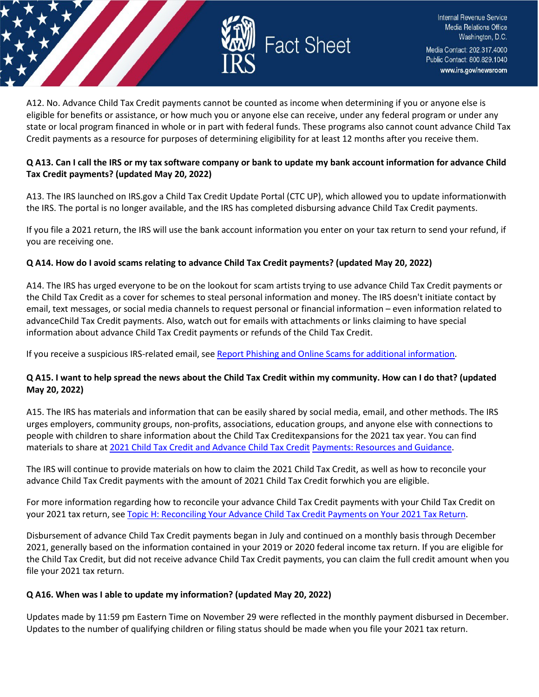

A12. No. Advance Child Tax Credit payments cannot be counted as income when determining if you or anyone else is eligible for benefits or assistance, or how much you or anyone else can receive, under any federal program or under any state or local program financed in whole or in part with federal funds. These programs also cannot count advance Child Tax Credit payments as a resource for purposes of determining eligibility for at least 12 months after you receive them.

### **Q A13. Can I call the IRS or my tax software company or bank to update my bank account information for advance Child Tax Credit payments? (updated May 20, 2022)**

A13. The IRS launched on IRS.gov a Child Tax Credit Update Portal (CTC UP), which allowed you to update informationwith the IRS. The portal is no longer available, and the IRS has completed disbursing advance Child Tax Credit payments.

If you file a 2021 return, the IRS will use the bank account information you enter on your tax return to send your refund, if you are receiving one.

#### **Q A14. How do I avoid scams relating to advance Child Tax Credit payments? (updated May 20, 2022)**

A14. The IRS has urged everyone to be on the lookout for scam artists trying to use advance Child Tax Credit payments or the Child Tax Credit as a cover for schemes to steal personal information and money. The IRS doesn't initiate contact by email, text messages, or social media channels to request personal or financial information – even information related to advanceChild Tax Credit payments. Also, watch out for emails with attachments or links claiming to have special information about advance Child Tax Credit payments or refunds of the Child Tax Credit.

If you receive a suspicious IRS-related email, see Report Phishing and Online Scams for additional [information.](https://www.irs.gov/privacy-disclosure/report-phishing)

### **Q A15. I want to help spread the news about the Child Tax Credit within my community. How can I do that? (updated May 20, 2022)**

A15. The IRS has materials and information that can be easily shared by social media, email, and other methods. The IRS urges employers, community groups, non-profits, associations, education groups, and anyone else with connections to people with children to share information about the Child Tax Creditexpansions for the 2021 tax year. You can find materials to share a[t 2021 Child Tax Credit and Advance Child Tax Credit](https://www.irs.gov/newsroom/2021-child-tax-credit-and-advance-child-tax-credit-payments-resources-and-guidance) [Payments:](https://www.irs.gov/newsroom/2021-child-tax-credit-and-advance-child-tax-credit-payments-resources-and-guidance) Resources and Guidance.

The IRS will continue to provide materials on how to claim the 2021 Child Tax Credit, as well as how to reconcile your advance Child Tax Credit payments with the amount of 2021 Child Tax Credit forwhich you are eligible.

For more information regarding how to reconcile your advance Child Tax Credit payments with your Child Tax Credit on your 2021 tax return, see Topic H: Reconciling Your Advance Child Tax Credit Payments on Your [2021 Tax Return.](https://www.irs.gov/credits-deductions/2021-child-tax-credit-and-advance-child-tax-credit-payments-topic-h-reconciling-your-advance-child-tax-credit-payments-on-your-2021-tax-return)

Disbursement of advance Child Tax Credit payments began in July and continued on a monthly basis through December 2021, generally based on the information contained in your 2019 or 2020 federal income tax return. If you are eligible for the Child Tax Credit, but did not receive advance Child Tax Credit payments, you can claim the full credit amount when you file your 2021 tax return.

#### **Q A16. When was I able to update my information? (updated May 20, 2022)**

Updates made by 11:59 pm Eastern Time on November 29 were reflected in the monthly payment disbursed in December. Updates to the number of qualifying children or filing status should be made when you file your 2021 tax return.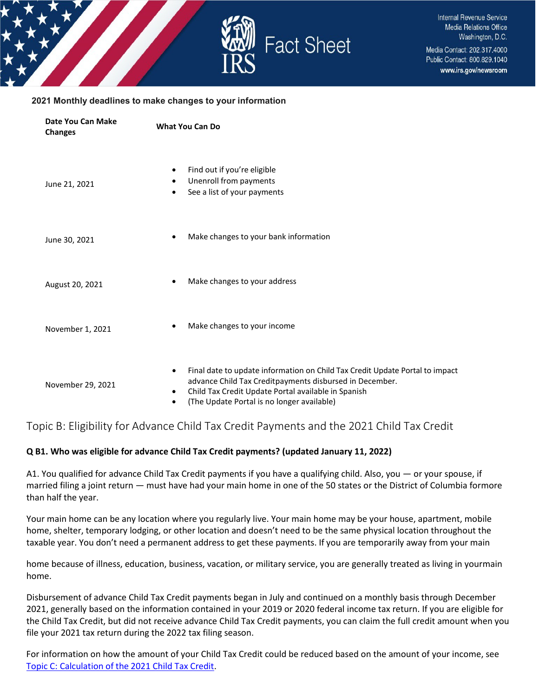

#### **2021 Monthly deadlines to make changes to your information**

| <b>Date You Can Make</b><br><b>Changes</b> | <b>What You Can Do</b>                                                                                                                                                                                                                                                              |
|--------------------------------------------|-------------------------------------------------------------------------------------------------------------------------------------------------------------------------------------------------------------------------------------------------------------------------------------|
| June 21, 2021                              | Find out if you're eligible<br>٠<br>Unenroll from payments<br>٠<br>See a list of your payments<br>٠                                                                                                                                                                                 |
| June 30, 2021                              | Make changes to your bank information                                                                                                                                                                                                                                               |
| August 20, 2021                            | Make changes to your address<br>$\bullet$                                                                                                                                                                                                                                           |
| November 1, 2021                           | Make changes to your income<br>$\bullet$                                                                                                                                                                                                                                            |
| November 29, 2021                          | Final date to update information on Child Tax Credit Update Portal to impact<br>$\bullet$<br>advance Child Tax Creditpayments disbursed in December.<br>Child Tax Credit Update Portal available in Spanish<br>$\bullet$<br>(The Update Portal is no longer available)<br>$\bullet$ |

# <span id="page-5-0"></span>Topic B: Eligibility for Advance Child Tax Credit Payments and the 2021 Child Tax Credit

#### **Q B1. Who was eligible for advance Child Tax Credit payments? (updated January 11, 2022)**

A1. You qualified for advance Child Tax Credit payments if you have a qualifying child. Also, you — or your spouse, if married filing a joint return — must have had your main home in one of the 50 states or the District of Columbia formore than half the year.

Your main home can be any location where you regularly live. Your main home may be your house, apartment, mobile home, shelter, temporary lodging, or other location and doesn't need to be the same physical location throughout the taxable year. You don't need a permanent address to get these payments. If you are temporarily away from your main

home because of illness, education, business, vacation, or military service, you are generally treated as living in yourmain home.

Disbursement of advance Child Tax Credit payments began in July and continued on a monthly basis through December 2021, generally based on the information contained in your 2019 or 2020 federal income tax return. If you are eligible for the Child Tax Credit, but did not receive advance Child Tax Credit payments, you can claim the full credit amount when you file your 2021 tax return during the 2022 tax filing season.

For information on how the amount of your Child Tax Credit could be reduced based on the amount of your income, see Topic C: [Calculation](https://www.irs.gov/credits-deductions/2021-child-tax-credit-and-advance-child-tax-credit-payments-topic-c-calculation-of-the-2021-child-tax-credit) of the 2021 Child Tax Credit.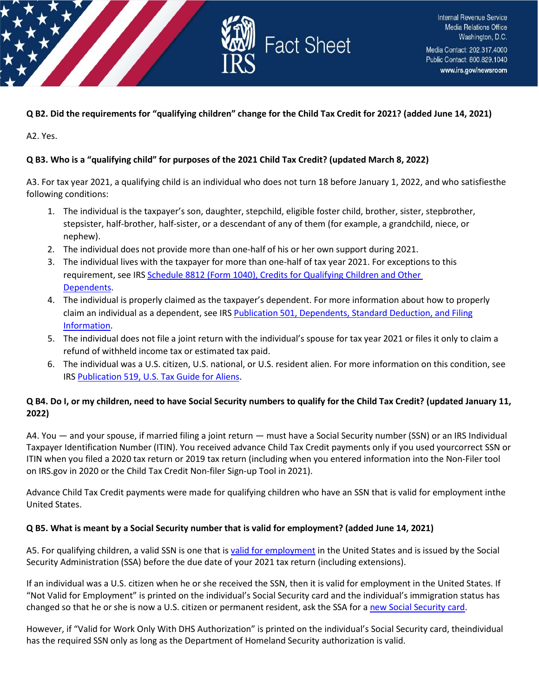

### **Q B2. Did the requirements for "qualifying children" change for the Child Tax Credit for 2021? (added June 14, 2021)**

A2. Yes.

### **Q B3. Who is a "qualifying child" for purposes of the 2021 Child Tax Credit? (updated March 8, 2022)**

A3. For tax year 2021, a qualifying child is an individual who does not turn 18 before January 1, 2022, and who satisfiesthe following conditions:

- 1. The individual is the taxpayer's son, daughter, stepchild, eligible foster child, brother, sister, stepbrother, stepsister, half-brother, half-sister, or a descendant of any of them (for example, a grandchild, niece, or nephew).
- 2. The individual does not provide more than one-half of his or her own support during 2021.
- 3. The individual lives with the taxpayer for more than one-half of tax year 2021. For exceptions to this requirement, see IRS [Schedule 8812 \(Form 1040\), Credits for Qualifying Children and Other](https://www.irs.gov/forms-pubs/about-schedule-8812-form-1040)  [Dependents.](https://www.irs.gov/forms-pubs/about-schedule-8812-form-1040)
- 4. The individual is properly claimed as the taxpayer's dependent. For more information about how to properly claim an individual as a dependent, see IRS [Publication 501, Dependents, Standard Deduction, and Filing](https://www.irs.gov/pub/irs-pdf/p501.pdf) [Information.](https://www.irs.gov/pub/irs-pdf/p501.pdf)
- 5. The individual does not file a joint return with the individual's spouse for tax year 2021 or files it only to claim a refund of withheld income tax or estimated tax paid.
- 6. The individual was a U.S. citizen, U.S. national, or U.S. resident alien. For more information on this condition, see IRS [Pu](https://www.irs.gov/pub/irs-pdf/p519.pdf)blication [519, U.S. Tax Guide](https://www.irs.gov/pub/irs-pdf/p519.pdf) for Aliens.

### **Q B4. Do I, or my children, need to have Social Security numbers to qualify for the Child Tax Credit? (updated January 11, 2022)**

A4. You — and your spouse, if married filing a joint return — must have a Social Security number (SSN) or an IRS Individual Taxpayer Identification Number (ITIN). You received advance Child Tax Credit payments only if you used yourcorrect SSN or ITIN when you filed a 2020 tax return or 2019 tax return (including when you entered information into the Non-Filer tool on IRS.gov in 2020 or the Child Tax Credit Non-filer Sign-up Tool in 2021).

Advance Child Tax Credit payments were made for qualifying children who have an SSN that is valid for employment inthe United States.

#### **Q B5. What is meant by a Social Security number that is valid for employment? (added June 14, 2021)**

A5. For qualifying children, a valid SSN is one that is [valid for employment](https://www.ssa.gov/ssnumber/cards.htm) in the United States and is issued by the Social Security Administration (SSA) before the due date of your 2021 tax return (including extensions).

If an individual was a U.S. citizen when he or she received the SSN, then it is valid for employment in the United States. If "Not Valid for Employment" is printed on the individual's Social Security card and the individual's immigration status has changed so that he or she is now a U.S. citizen or permanent resident, ask the SSA for a [new Social Security card.](https://www.ssa.gov/ssnumber/)

However, if "Valid for Work Only With DHS Authorization" is printed on the individual's Social Security card, theindividual has the required SSN only as long as the Department of Homeland Security authorization is valid.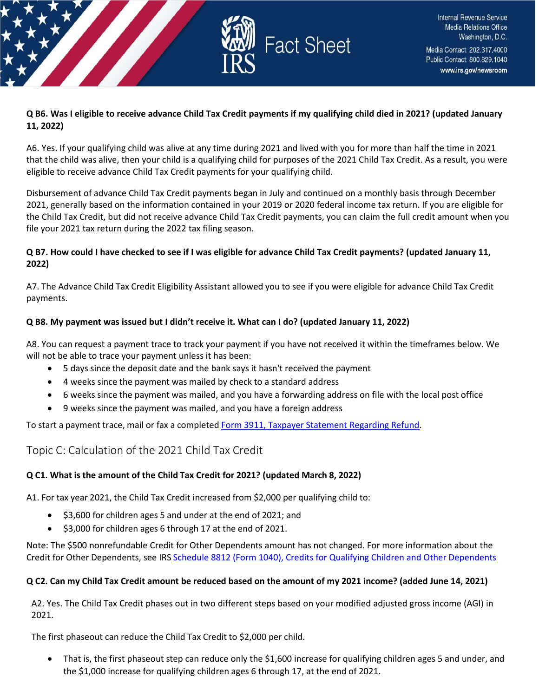

### **Q B6. Was I eligible to receive advance Child Tax Credit payments if my qualifying child died in 2021? (updated January 11, 2022)**

A6. Yes. If your qualifying child was alive at any time during 2021 and lived with you for more than half the time in 2021 that the child was alive, then your child is a qualifying child for purposes of the 2021 Child Tax Credit. As a result, you were eligible to receive advance Child Tax Credit payments for your qualifying child.

Disbursement of advance Child Tax Credit payments began in July and continued on a monthly basis through December 2021, generally based on the information contained in your 2019 or 2020 federal income tax return. If you are eligible for the Child Tax Credit, but did not receive advance Child Tax Credit payments, you can claim the full credit amount when you file your 2021 tax return during the 2022 tax filing season.

### **Q B7. How could I have checked to see if I was eligible for advance Child Tax Credit payments? (updated January 11, 2022)**

A7. The Advance Child Tax Credit Eligibility Assistant allowed you to see if you were eligible for advance Child Tax Credit payments.

# **Q B8. My payment was issued but I didn't receive it. What can I do? (updated January 11, 2022)**

A8. You can request a payment trace to track your payment if you have not received it within the timeframes below. We will not be able to trace your payment unless it has been:

- 5 days since the deposit date and the bank says it hasn't received the payment
- 4 weeks since the payment was mailed by check to a standard address
- 6 weeks since the payment was mailed, and you have a forwarding address on file with the local post office
- 9 weeks since the payment was mailed, and you have a foreign address

To start a payment trace, mail or fax a completed Form 3911, Taxpayer [Statement Regarding](https://www.irs.gov/pub/irs-pdf/f3911.pdf) Refund.

# <span id="page-7-0"></span>Topic C: Calculation of the 2021 Child Tax Credit

# **Q C1. What is the amount of the Child Tax Credit for 2021? (updated March 8, 2022)**

A1. For tax year 2021, the Child Tax Credit increased from \$2,000 per qualifying child to:

- \$3,600 for children ages 5 and under at the end of 2021; and
- \$3,000 for children ages 6 through 17 at the end of 2021.

Note: The \$500 nonrefundable Credit for Other Dependents amount has not changed. For more information about the Credit for Other Dependents, see IRS [Schedule 8812 \(Form 1040\), Credits for Qualifying Children and Other Dependents](https://www.irs.gov/forms-pubs/about-schedule-8812-form-1040)

#### **Q C2. Can my Child Tax Credit amount be reduced based on the amount of my 2021 income? (added June 14, 2021)**

A2. Yes. The Child Tax Credit phases out in two different steps based on your modified adjusted gross income (AGI) in 2021.

The first phaseout can reduce the Child Tax Credit to \$2,000 per child.

• That is, the first phaseout step can reduce only the \$1,600 increase for qualifying children ages 5 and under, and the \$1,000 increase for qualifying children ages 6 through 17, at the end of 2021.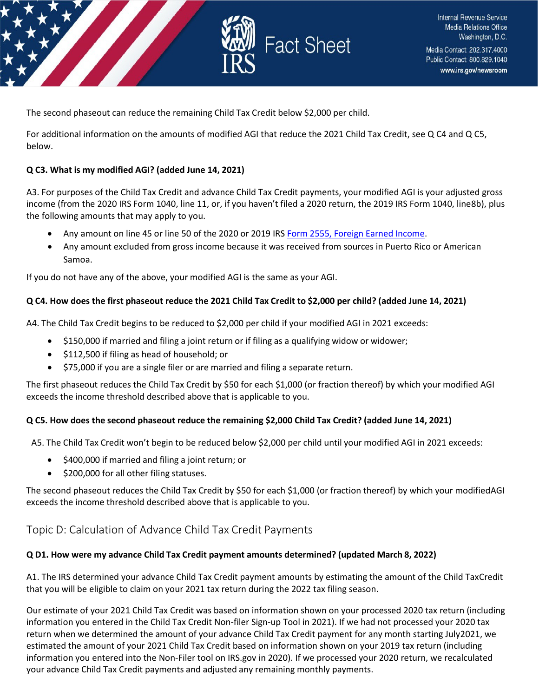

The second phaseout can reduce the remaining Child Tax Credit below \$2,000 per child.

For additional information on the amounts of modified AGI that reduce the 2021 Child Tax Credit, see Q C4 and Q C5, below.

#### **Q C3. What is my modified AGI? (added June 14, 2021)**

A3. For purposes of the Child Tax Credit and advance Child Tax Credit payments, your modified AGI is your adjusted gross income (from the 2020 IRS Form 1040, line 11, or, if you haven't filed a 2020 return, the 2019 IRS Form 1040, line8b), plus the following amounts that may apply to you.

- Any amount on line 45 or line 50 of the 2020 or 2019 IRS Form 2555, Foreign Earned [Income.](https://www.irs.gov/forms-pubs/about-form-2555)
- Any amount excluded from gross income because it was received from sources in Puerto Rico or American Samoa.

If you do not have any of the above, your modified AGI is the same as your AGI.

#### Q C4. How does the first phaseout reduce the 2021 Child Tax Credit to \$2,000 per child? (added June 14, 2021)

A4. The Child Tax Credit begins to be reduced to \$2,000 per child if your modified AGI in 2021 exceeds:

- \$150,000 if married and filing a joint return or if filing as a qualifying widow or widower;
- \$112,500 if filing as head of household; or
- \$75,000 if you are a single filer or are married and filing a separate return.

The first phaseout reduces the Child Tax Credit by \$50 for each \$1,000 (or fraction thereof) by which your modified AGI exceeds the income threshold described above that is applicable to you.

#### Q C5. How does the second phaseout reduce the remaining \$2,000 Child Tax Credit? (added June 14, 2021)

A5. The Child Tax Credit won't begin to be reduced below \$2,000 per child until your modified AGI in 2021 exceeds:

- \$400,000 if married and filing a joint return; or
- \$200,000 for all other filing statuses.

The second phaseout reduces the Child Tax Credit by \$50 for each \$1,000 (or fraction thereof) by which your modifiedAGI exceeds the income threshold described above that is applicable to you.

# <span id="page-8-0"></span>Topic D: Calculation of Advance Child Tax Credit Payments

#### **Q D1. How were my advance Child Tax Credit payment amounts determined? (updated March 8, 2022)**

A1. The IRS determined your advance Child Tax Credit payment amounts by estimating the amount of the Child TaxCredit that you will be eligible to claim on your 2021 tax return during the 2022 tax filing season.

Our estimate of your 2021 Child Tax Credit was based on information shown on your processed 2020 tax return (including information you entered in the Child Tax Credit Non-filer Sign-up Tool in 2021). If we had not processed your 2020 tax return when we determined the amount of your advance Child Tax Credit payment for any month starting July2021, we estimated the amount of your 2021 Child Tax Credit based on information shown on your 2019 tax return (including information you entered into the Non-Filer tool on IRS.gov in 2020). If we processed your 2020 return, we recalculated your advance Child Tax Credit payments and adjusted any remaining monthly payments.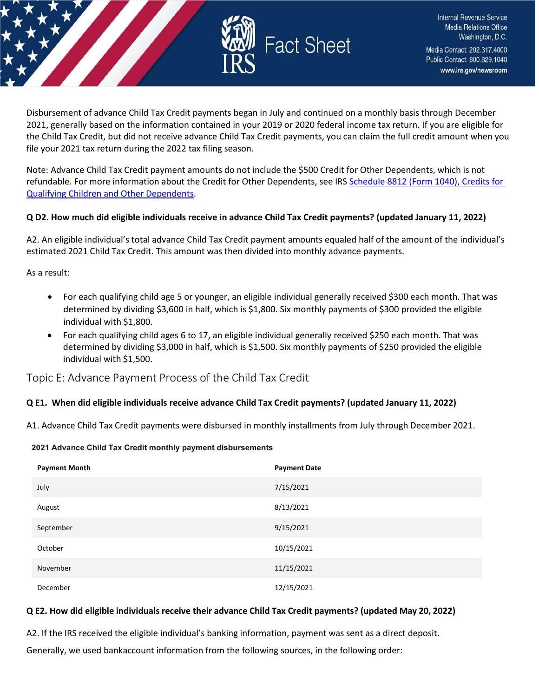

Disbursement of advance Child Tax Credit payments began in July and continued on a monthly basis through December 2021, generally based on the information contained in your 2019 or 2020 federal income tax return. If you are eligible for the Child Tax Credit, but did not receive advance Child Tax Credit payments, you can claim the full credit amount when you file your 2021 tax return during the 2022 tax filing season.

Note: Advance Child Tax Credit payment amounts do not include the \$500 Credit for Other Dependents, which is not refundable. For more information about the Credit for Other Dependents, see IRS Schedule 8812 (Form 1040), Credits for Qualifying Children [and Other Dependents.](https://www.irs.gov/forms-pubs/about-schedule-8812-form-1040)

#### **Q D2. How much did eligible individuals receive in advance Child Tax Credit payments? (updated January 11, 2022)**

A2. An eligible individual's total advance Child Tax Credit payment amounts equaled half of the amount of the individual's estimated 2021 Child Tax Credit. This amount was then divided into monthly advance payments.

As a result:

- For each qualifying child age 5 or younger, an eligible individual generally received \$300 each month. That was determined by dividing \$3,600 in half, which is \$1,800. Six monthly payments of \$300 provided the eligible individual with \$1,800.
- For each qualifying child ages 6 to 17, an eligible individual generally received \$250 each month. That was determined by dividing \$3,000 in half, which is \$1,500. Six monthly payments of \$250 provided the eligible individual with \$1,500.

<span id="page-9-0"></span>Topic E: Advance Payment Process of the Child Tax Credit

#### **Q E1. When did eligible individuals receive advance Child Tax Credit payments? (updated January 11, 2022)**

A1. Advance Child Tax Credit payments were disbursed in monthly installments from July through December 2021.

#### **2021 Advance Child Tax Credit monthly payment disbursements**

| <b>Payment Month</b> | <b>Payment Date</b> |
|----------------------|---------------------|
| July                 | 7/15/2021           |
| August               | 8/13/2021           |
| September            | 9/15/2021           |
| October              | 10/15/2021          |
| November             | 11/15/2021          |
| December             | 12/15/2021          |

#### **Q E2. How did eligible individuals receive their advance Child Tax Credit payments? (updated May 20, 2022)**

A2. If the IRS received the eligible individual's banking information, payment was sent as a direct deposit.

Generally, we used bankaccount information from the following sources, in the following order: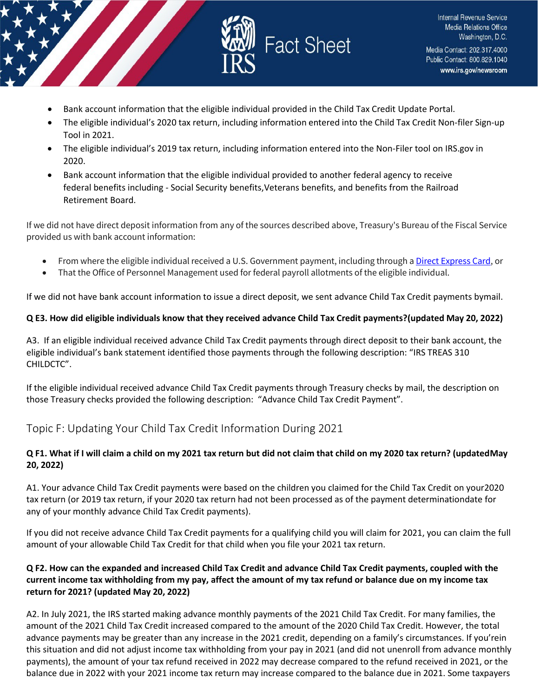

- Bank account information that the eligible individual provided in the Child Tax Credit Update Portal.
- The eligible individual's 2020 tax return, including information entered into the Child Tax Credit Non-filer Sign-up Tool in 2021.
- The eligible individual's 2019 tax return, including information entered into the Non-Filer tool on IRS.gov in 2020.
- Bank account information that the eligible individual provided to another federal agency to receive federal benefits including - Social Security benefits, Veterans benefits, and benefits from the Railroad Retirement Board.

If we did not have direct deposit information from any of the sources described above, Treasury's Bureau of the Fiscal Service provided us with bank account information:

- From where the eligible individual received a U.S. Government payment, including through [a Direct Express Card,](https://www.usdirectexpress.com/downloads/FAQs-EIP.pdf) or
- That the Office of Personnel Management used for federal payroll allotments of the eligible individual.

If we did not have bank account information to issue a direct deposit, we sent advance Child Tax Credit payments bymail.

#### **Q E3. How did eligible individuals know that they received advance Child Tax Credit payments?(updated May 20, 2022)**

A3. If an eligible individual received advance Child Tax Credit payments through direct deposit to their bank account, the eligible individual's bank statement identified those payments through the following description: "IRS TREAS 310 CHILDCTC".

If the eligible individual received advance Child Tax Credit payments through Treasury checks by mail, the description on those Treasury checks provided the following description: "Advance Child Tax Credit Payment".

# <span id="page-10-0"></span>Topic F: Updating Your Child Tax Credit Information During 2021

### **Q F1. What if I will claim a child on my 2021 tax return but did not claim that child on my 2020 tax return? (updated May 20, 2022)**

A1. Your advance Child Tax Credit payments were based on the children you claimed for the Child Tax Credit on your2020 tax return (or 2019 tax return, if your 2020 tax return had not been processed as of the payment determinationdate for any of your monthly advance Child Tax Credit payments).

If you did not receive advance Child Tax Credit payments for a qualifying child you will claim for 2021, you can claim the full amount of your allowable Child Tax Credit for that child when you file your 2021 tax return.

### **Q F2. How can the expanded and increased Child Tax Credit and advance Child Tax Credit payments, coupled with the current income tax withholding from my pay, affect the amount of my tax refund or balance due on my income tax return for 2021? (updated May 20, 2022)**

A2. In July 2021, the IRS started making advance monthly payments of the 2021 Child Tax Credit. For many families, the amount of the 2021 Child Tax Credit increased compared to the amount of the 2020 Child Tax Credit. However, the total advance payments may be greater than any increase in the 2021 credit, depending on a family's circumstances. If you'rein this situation and did not adjust income tax withholding from your pay in 2021 (and did not unenroll from advance monthly payments), the amount of your tax refund received in 2022 may decrease compared to the refund received in 2021, or the balance due in 2022 with your 2021 income tax return may increase compared to the balance due in 2021. Some taxpayers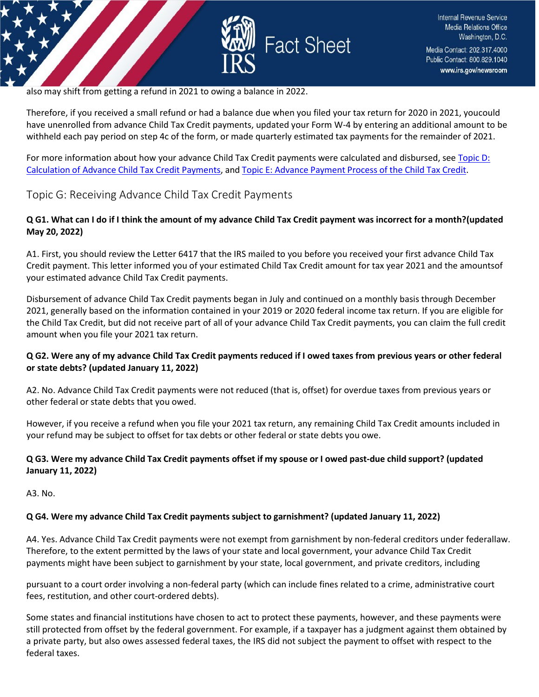

also may shift from getting a refund in 2021 to owing a balance in 2022.

Therefore, if you received a small refund or had a balance due when you filed your tax return for 2020 in 2021, youcould have unenrolled from advance Child Tax Credit payments, updated your Form W-4 by entering an additional amount to be withheld each pay period on step 4c of the form, or made quarterly estimated tax payments for the remainder of 2021.

For more information about how your advance Child Tax Credit payments were calculated and disbursed, se[e Topic D:](https://www.irs.gov/credits-deductions/2021-child-tax-credit-and-advance-child-tax-credit-payments-topic-d-calculation-of-advance-child-tax-credit-payments) Calculation of Advance Child Tax Credit [Payments, a](https://www.irs.gov/credits-deductions/2021-child-tax-credit-and-advance-child-tax-credit-payments-topic-d-calculation-of-advance-child-tax-credit-payments)nd Topic E: Advance Payment Process of the Child [Tax Credit.](https://www.irs.gov/credits-deductions/2021-child-tax-credit-and-advance-child-tax-credit-payments-topic-e-advance-payment-process-of-the-child-tax-credit)

# <span id="page-11-0"></span>Topic G: Receiving Advance Child Tax Credit Payments

#### **Q G1. What can I do if I think the amount of my advance Child Tax Credit payment was incorrect for a month?(updated May 20, 2022)**

A1. First, you should review the Letter 6417 that the IRS mailed to you before you received your first advance Child Tax Credit payment. This letter informed you of your estimated Child Tax Credit amount for tax year 2021 and the amountsof your estimated advance Child Tax Credit payments.

Disbursement of advance Child Tax Credit payments began in July and continued on a monthly basis through December 2021, generally based on the information contained in your 2019 or 2020 federal income tax return. If you are eligible for the Child Tax Credit, but did not receive part of all of your advance Child Tax Credit payments, you can claim the full credit amount when you file your 2021 tax return.

#### **Q G2. Were any of my advance Child Tax Credit payments reduced if I owed taxes from previous years or other federal or state debts? (updated January 11, 2022)**

A2. No. Advance Child Tax Credit payments were not reduced (that is, offset) for overdue taxes from previous years or other federal or state debts that you owed.

However, if you receive a refund when you file your 2021 tax return, any remaining Child Tax Credit amounts included in your refund may be subject to offset for tax debts or other federal or state debts you owe.

#### **Q G3. Were my advance Child Tax Credit payments offset if my spouse or I owed past-due child support? (updated January 11, 2022)**

A3. No.

#### **Q G4. Were my advance Child Tax Credit payments subject to garnishment? (updated January 11, 2022)**

A4. Yes. Advance Child Tax Credit payments were not exempt from garnishment by non-federal creditors under federallaw. Therefore, to the extent permitted by the laws of your state and local government, your advance Child Tax Credit payments might have been subject to garnishment by your state, local government, and private creditors, including

pursuant to a court order involving a non-federal party (which can include fines related to a crime, administrative court fees, restitution, and other court-ordered debts).

Some states and financial institutions have chosen to act to protect these payments, however, and these payments were still protected from offset by the federal government. For example, if a taxpayer has a judgment against them obtained by a private party, but also owes assessed federal taxes, the IRS did not subject the payment to offset with respect to the federal taxes.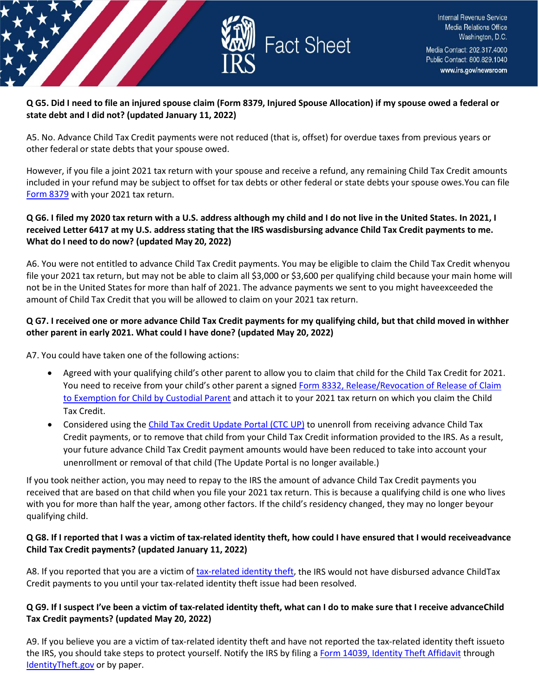

#### **Q G5. Did I need to file an injured spouse claim (Form 8379, Injured Spouse Allocation) if my spouse owed a federal or state debt and I did not? (updated January 11, 2022)**

A5. No. Advance Child Tax Credit payments were not reduced (that is, offset) for overdue taxes from previous years or other federal or state debts that your spouse owed.

However, if you file a joint 2021 tax return with your spouse and receive a refund, any remaining Child Tax Credit amounts included in your refund may be subject to offset for tax debts or other federal or state debts your spouse owes.You can file [Form](https://www.irs.gov/forms-pubs/about-form-8379) 8379 with your 2021 tax return.

### **Q G6. I filed my 2020 tax return with a U.S. address although my child and I do not live in the United States. In 2021, I received Letter 6417 at my U.S. address stating that the IRS wasdisbursing advance Child Tax Credit payments to me. What do I need to do now? (updated May 20, 2022)**

A6. You were not entitled to advance Child Tax Credit payments. You may be eligible to claim the Child Tax Credit whenyou file your 2021 tax return, but may not be able to claim all \$3,000 or \$3,600 per qualifying child because your main home will not be in the United States for more than half of 2021. The advance payments we sent to you might haveexceeded the amount of Child Tax Credit that you will be allowed to claim on your 2021 tax return.

### **Q G7. I received one or more advance Child Tax Credit payments for my qualifying child, but that child moved in withher other parent in early 2021. What could I have done? (updated May 20, 2022)**

A7. You could have taken one of the following actions:

- Agreed with your qualifying child's other parent to allow you to claim that child for the Child Tax Credit for 2021. You need to receive from your child's other parent a signed [Form 8332, Release/Revocation of Release of Claim](https://www.irs.gov/forms-pubs/about-form-8332) to [Exemption](https://www.irs.gov/forms-pubs/about-form-8332) for Child by Custodial Parent and attach it to your 2021 tax return on which you claim the Child Tax Credit.
- Considered using the Child Tax Credit Update Portal (CTC UP) to unenroll from receiving advance Child Tax Credit payments, or to remove that child from your Child Tax Credit information provided to the IRS. As a result, your future advance Child Tax Credit payment amounts would have been reduced to take into account your unenrollment or removal of that child (The Update Portal is no longer available.)

If you took neither action, you may need to repay to the IRS the amount of advance Child Tax Credit payments you received that are based on that child when you file your 2021 tax return. This is because a qualifying child is one who lives with you for more than half the year, among other factors. If the child's residency changed, they may no longer beyour qualifying child.

#### **Q G8. If I reported that I was a victim of tax-related identity theft, how could I have ensured that I would receiveadvance Child Tax Credit payments? (updated January 11, 2022)**

A8. If you reported that you are a victim of [tax-related identity theft, t](https://www.irs.gov/newsroom/taxpayer-guide-to-identity-theft)he IRS would not have disbursed advance ChildTax Credit payments to you until your tax-related identity theft issue had been resolved.

#### **Q G9. If I suspect I've been a victim of tax-related identity theft, what can I do to make sure that I receive advanceChild Tax Credit payments? (updated May 20, 2022)**

A9. If you believe you are a victim of tax-related identity theft and have not reported the tax-related identity theft issueto the IRS, you should take steps to protect yourself. Notify the IRS by filing a Form [14039, Identity Theft Affidavit](https://www.irs.gov/pub/irs-pdf/f14039.pdf) through [IdentityTheft.gov](https://www.identitytheft.gov/) or by paper.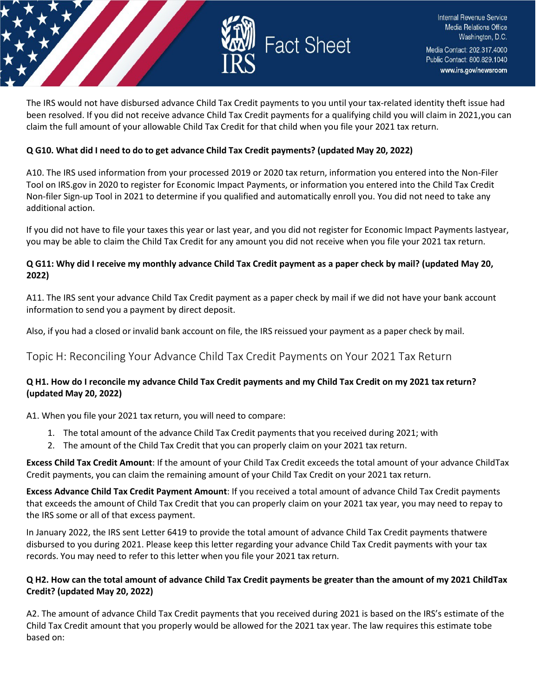

The IRS would not have disbursed advance Child Tax Credit payments to you until your tax-related identity theft issue had been resolved. If you did not receive advance Child Tax Credit payments for a qualifying child you will claim in 2021,you can claim the full amount of your allowable Child Tax Credit for that child when you file your 2021 tax return.

### **Q G10. What did I need to do to get advance Child Tax Credit payments? (updated May 20, 2022)**

A10. The IRS used information from your processed 2019 or 2020 tax return, information you entered into the Non-Filer Tool on IRS.gov in 2020 to register for Economic Impact Payments, or information you entered into the Child Tax Credit Non-filer Sign-up Tool in 2021 to determine if you qualified and automatically enroll you. You did not need to take any additional action.

If you did not have to file your taxes this year or last year, and you did not register for Economic Impact Payments lastyear, you may be able to claim the Child Tax Credit for any amount you did not receive when you file your 2021 tax return.

### **Q G11: Why did I receive my monthly advance Child Tax Credit payment as a paper check by mail? (updated May 20, 2022)**

A11. The IRS sent your advance Child Tax Credit payment as a paper check by mail if we did not have your bank account information to send you a payment by direct deposit.

Also, if you had a closed or invalid bank account on file, the IRS reissued your payment as a paper check by mail.

# <span id="page-13-0"></span>Topic H: Reconciling Your Advance Child Tax Credit Payments on Your 2021 Tax Return

### **Q H1. How do I reconcile my advance Child Tax Credit payments and my Child Tax Credit on my 2021 tax return? (updated May 20, 2022)**

A1. When you file your 2021 tax return, you will need to compare:

- 1. The total amount of the advance Child Tax Credit payments that you received during 2021; with
- 2. The amount of the Child Tax Credit that you can properly claim on your 2021 tax return.

**Excess Child Tax Credit Amount**: If the amount of your Child Tax Credit exceeds the total amount of your advance ChildTax Credit payments, you can claim the remaining amount of your Child Tax Credit on your 2021 tax return.

**Excess Advance Child Tax Credit Payment Amount**: If you received a total amount of advance Child Tax Credit payments that exceeds the amount of Child Tax Credit that you can properly claim on your 2021 tax year, you may need to repay to the IRS some or all of that excess payment.

In January 2022, the IRS sent Letter 6419 to provide the total amount of advance Child Tax Credit payments thatwere disbursed to you during 2021. Please keep this letter regarding your advance Child Tax Credit payments with your tax records. You may need to refer to this letter when you file your 2021 tax return.

#### **Q H2. How can the total amount of advance Child Tax Credit payments be greater than the amount of my 2021 ChildTax Credit? (updated May 20, 2022)**

A2. The amount of advance Child Tax Credit payments that you received during 2021 is based on the IRS's estimate of the Child Tax Credit amount that you properly would be allowed for the 2021 tax year. The law requires this estimate tobe based on: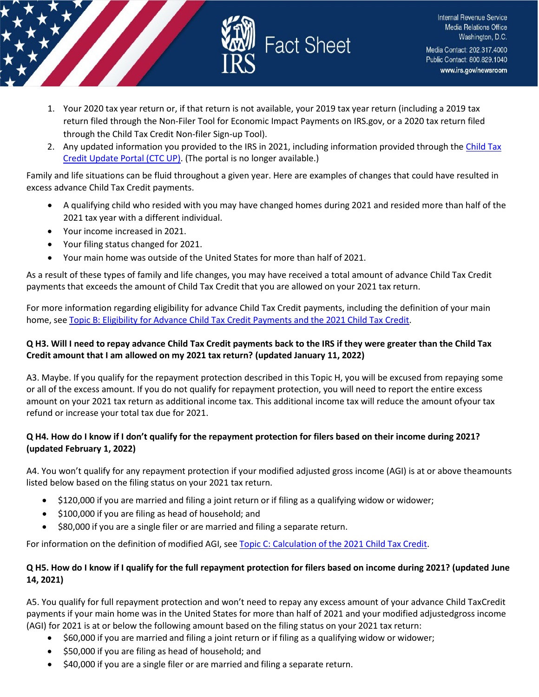

- 1. Your 2020 tax year return or, if that return is not available, your 2019 tax year return (including a 2019 tax return filed through the Non-Filer Tool for Economic Impact Payments on IRS.gov, or a 2020 tax return filed through the Child Tax Credit Non-filer Sign-up Tool).
- 2. Any updated information you provided to the IRS in 2021, including information provided through the Child Tax Credit Update Portal (CTC UP). (The portal is no longer available.)

Family and life situations can be fluid throughout a given year. Here are examples of changes that could have resulted in excess advance Child Tax Credit payments.

- A qualifying child who resided with you may have changed homes during 2021 and resided more than half of the 2021 tax year with a different individual.
- Your income increased in 2021.
- Your filing status changed for 2021.
- Your main home was outside of the United States for more than half of 2021.

As a result of these types of family and life changes, you may have received a total amount of advance Child Tax Credit payments that exceeds the amount of Child Tax Credit that you are allowed on your 2021 tax return.

For more information regarding eligibility for advance Child Tax Credit payments, including the definition of your main home, see Topic B: Eligibility for Advance Child [Tax Credit](https://www.irs.gov/credits-deductions/2021-child-tax-credit-and-advance-child-tax-credit-payments-topic-b-eligibility-for-advance-child-tax-credit-payments-and-the-2021-child-tax-credit) Payments and the 2021 Child Tax Credit.

#### **Q H3. Will I need to repay advance Child Tax Credit payments back to the IRS if they were greater than the Child Tax Credit amount that I am allowed on my 2021 tax return? (updated January 11, 2022)**

A3. Maybe. If you qualify for the repayment protection described in this Topic H, you will be excused from repaying some or all of the excess amount. If you do not qualify for repayment protection, you will need to report the entire excess amount on your 2021 tax return as additional income tax. This additional income tax will reduce the amount ofyour tax refund or increase your total tax due for 2021.

#### **Q H4. How do I know if I don't qualify for the repayment protection for filers based on their income during 2021? (updated February 1, 2022)**

A4. You won't qualify for any repayment protection if your modified adjusted gross income (AGI) is at or above theamounts listed below based on the filing status on your 2021 tax return.

- \$120,000 if you are married and filing a joint return or if filing as a qualifying widow or widower;
- \$100,000 if you are filing as head of household; and
- \$80,000 if you are a single filer or are married and filing a separate return.

For information on the definition of modified AGI, see Topic [C: Calculation](https://www.irs.gov/credits-deductions/2021-child-tax-credit-and-advance-child-tax-credit-payments-topic-c-calculation-of-the-2021-child-tax-credit) of the 2021 Child Tax Credit.

### **Q H5. How do I know if I qualify for the full repayment protection for filers based on income during 2021? (updated June 14, 2021)**

A5. You qualify for full repayment protection and won't need to repay any excess amount of your advance Child TaxCredit payments if your main home was in the United States for more than half of 2021 and your modified adjustedgross income (AGI) for 2021 is at or below the following amount based on the filing status on your 2021 tax return:

- \$60,000 if you are married and filing a joint return or if filing as a qualifying widow or widower;
- \$50,000 if you are filing as head of household; and
- \$40,000 if you are a single filer or are married and filing a separate return.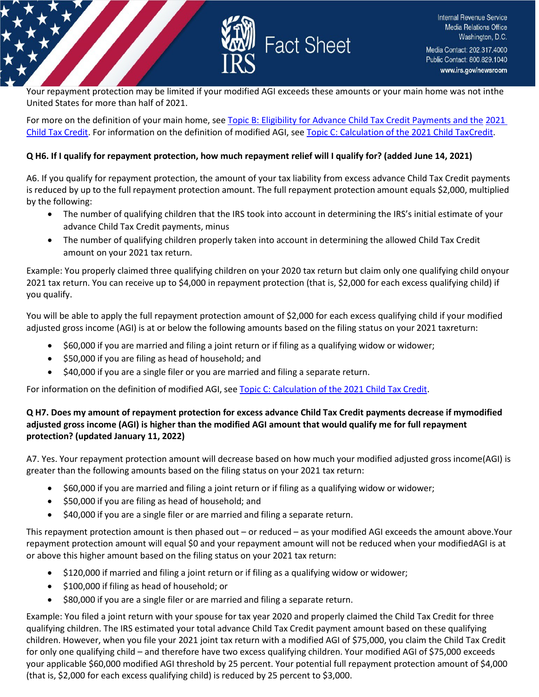

Your repayment protection may be limited if your modified AGI exceeds these amounts or your main home was not inthe United States for more than half of 2021.

For more on the definition of your main home, see [Topic B: Eligibility for Advance Child Tax Credit Payments and the](https://www.irs.gov/credits-deductions/2021-child-tax-credit-and-advance-child-tax-credit-payments-topic-b-eligibility-for-advance-child-tax-credit-payments-and-the-2021-child-tax-credit) [2021](https://www.irs.gov/credits-deductions/2021-child-tax-credit-and-advance-child-tax-credit-payments-topic-b-eligibility-for-advance-child-tax-credit-payments-and-the-2021-child-tax-credit)  [Child Tax Credit. F](https://www.irs.gov/credits-deductions/2021-child-tax-credit-and-advance-child-tax-credit-payments-topic-b-eligibility-for-advance-child-tax-credit-payments-and-the-2021-child-tax-credit)or information on the definition of modified AGI, se[e Topic C: Calculation of the 2021 Child TaxCredit.](https://www.irs.gov/credits-deductions/2021-child-tax-credit-and-advance-child-tax-credit-payments-topic-c-calculation-of-the-2021-child-tax-credit)

#### **Q H6. If I qualify for repayment protection, how much repayment relief will I qualify for? (added June 14, 2021)**

A6. If you qualify for repayment protection, the amount of your tax liability from excess advance Child Tax Credit payments is reduced by up to the full repayment protection amount. The full repayment protection amount equals \$2,000, multiplied by the following:

- The number of qualifying children that the IRS took into account in determining the IRS's initial estimate of your advance Child Tax Credit payments, minus
- The number of qualifying children properly taken into account in determining the allowed Child Tax Credit amount on your 2021 tax return.

Example: You properly claimed three qualifying children on your 2020 tax return but claim only one qualifying child onyour 2021 tax return. You can receive up to \$4,000 in repayment protection (that is, \$2,000 for each excess qualifying child) if you qualify.

You will be able to apply the full repayment protection amount of \$2,000 for each excess qualifying child if your modified adjusted gross income (AGI) is at or below the following amounts based on the filing status on your 2021 taxreturn:

- \$60,000 if you are married and filing a joint return or if filing as a qualifying widow or widower;
- \$50,000 if you are filing as head of household; and
- \$40,000 if you are a single filer or you are married and filing a separate return.

For information on the definition of modified AGI, see Topic [C: Calculation](https://www.irs.gov/credits-deductions/2021-child-tax-credit-and-advance-child-tax-credit-payments-topic-c-calculation-of-the-2021-child-tax-credit) of the 2021 Child Tax [Credit.](https://www.irs.gov/credits-deductions/2021-child-tax-credit-and-advance-child-tax-credit-payments-topic-c-calculation-of-the-2021-child-tax-credit)

### **Q H7. Does my amount of repayment protection for excess advance Child Tax Credit payments decrease if mymodified adjusted gross income (AGI) is higher than the modified AGI amount that would qualify me for full repayment protection? (updated January 11, 2022)**

A7. Yes. Your repayment protection amount will decrease based on how much your modified adjusted gross income(AGI) is greater than the following amounts based on the filing status on your 2021 tax return:

- \$60,000 if you are married and filing a joint return or if filing as a qualifying widow or widower;
- \$50,000 if you are filing as head of household; and
- \$40,000 if you are a single filer or are married and filing a separate return.

This repayment protection amount is then phased out – or reduced – as your modified AGI exceeds the amount above.Your repayment protection amount will equal \$0 and your repayment amount will not be reduced when your modifiedAGI is at or above this higher amount based on the filing status on your 2021 tax return:

- \$120,000 if married and filing a joint return or if filing as a qualifying widow or widower;
- \$100,000 if filing as head of household; or
- \$80,000 if you are a single filer or are married and filing a separate return.

Example: You filed a joint return with your spouse for tax year 2020 and properly claimed the Child Tax Credit for three qualifying children. The IRS estimated your total advance Child Tax Credit payment amount based on these qualifying children. However, when you file your 2021 joint tax return with a modified AGI of \$75,000, you claim the Child Tax Credit for only one qualifying child – and therefore have two excess qualifying children. Your modified AGI of \$75,000 exceeds your applicable \$60,000 modified AGI threshold by 25 percent. Your potential full repayment protection amount of \$4,000 (that is, \$2,000 for each excess qualifying child) is reduced by 25 percent to \$3,000.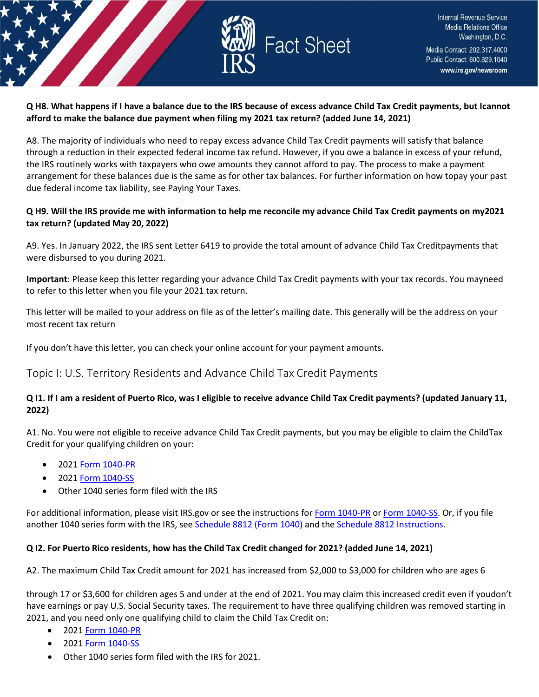

#### **Q H8. What happens if I have a balance due to the IRS because of excess advance Child Tax Credit payments, but Icannot afford to make the balance due payment when filing my 2021 tax return? (added June 14, 2021)**

A8. The majority of individuals who need to repay excess advance Child Tax Credit payments will satisfy that balance through a reduction in their expected federal income tax refund. However, if you owe a balance in excess of your refund, the IRS routinely works with taxpayers who owe amounts they cannot afford to pay. The process to make a payment arrangement for these balances due is the same as for other tax balances. For further information on how topay your past due federal income tax liability, see Paying Your Taxes.

#### **Q H9. Will the IRS provide me with information to help me reconcile my advance Child Tax Credit payments on my2021 tax return? (updated May 20, 2022)**

A9. Yes. In January 2022, the IRS sent Letter 6419 to provide the total amount of advance Child Tax Creditpayments that were disbursed to you during 2021.

**Important**: Please keep this letter regarding your advance Child Tax Credit payments with your tax records. You mayneed to refer to this letter when you file your 2021 tax return.

This letter will be mailed to your address on file as of the letter's mailing date. This generally will be the address on your most recent tax return

If you don't have this letter, you can check your online account for your payment amounts.

# <span id="page-16-0"></span>Topic I: U.S. Territory Residents and Advance Child Tax Credit Payments

#### **Q I1. If I am a resident of Puerto Rico, was I eligible to receive advance Child Tax Credit payments? (updated January 11, 2022)**

A1. No. You were not eligible to receive advance Child Tax Credit payments, but you may be eligible to claim the ChildTax Credit for your qualifying children on your:

- 2021 Form [1040-PR](https://www.irs.gov/forms-pubs/about-form-1040-pr)
- 2021 Form [1040-SS](https://www.irs.gov/forms-pubs/about-form-1040-ss)
- Other 1040 series form filed with the IRS

For additional information, please visit IRS.gov or see the instructions fo[r Form 1040-PR](https://www.irs.gov/instructions/i1040pr) o[r Form 1040-SS. O](https://www.irs.gov/forms-pubs/about-form-1040-ss)r, if you file another 1040 series form with the IRS, see [Schedule](https://www.irs.gov/forms-pubs/about-schedule-8812-form-1040) 8812 (Form 1040) and the [Schedule 8812 Instructions.](https://www.irs.gov/instructions/i1040s8)

#### **Q I2. For Puerto Rico residents, how has the Child Tax Credit changed for 2021? (added June 14, 2021)**

A2. The maximum Child Tax Credit amount for 2021 has increased from \$2,000 to \$3,000 for children who are ages 6

through 17 or \$3,600 for children ages 5 and under at the end of 2021. You may claim this increased credit even if youdon't have earnings or pay U.S. Social Security taxes. The requirement to have three qualifying children was removed starting in 2021, and you need only one qualifying child to claim the Child Tax Credit on:

- 2021 Form [1040-PR](https://www.irs.gov/forms-pubs/about-form-1040-pr)
- 2021 Form [1040-SS](https://www.irs.gov/forms-pubs/about-form-1040-ss)
- Other 1040 series form filed with the IRS for 2021.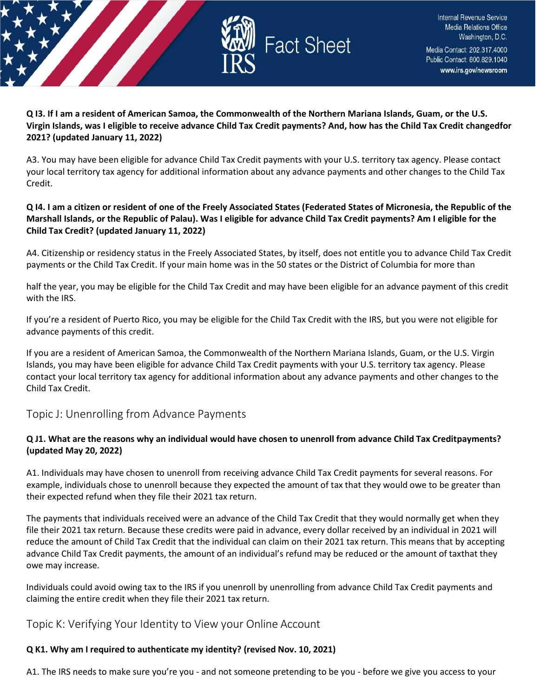

**Q I3. If I am a resident of American Samoa, the Commonwealth of the Northern Mariana Islands, Guam, or the U.S. Virgin Islands, was I eligible to receive advance Child Tax Credit payments? And, how has the Child Tax Credit changedfor 2021? (updated January 11, 2022)**

A3. You may have been eligible for advance Child Tax Credit payments with your U.S. territory tax agency. Please contact your local territory tax agency for additional information about any advance payments and other changes to the Child Tax Credit.

### **Q I4. I am a citizen or resident of one of the Freely Associated States (Federated States of Micronesia, the Republic of the Marshall Islands, or the Republic of Palau). Was I eligible for advance Child Tax Credit payments? Am I eligible for the Child Tax Credit? (updated January 11, 2022)**

A4. Citizenship or residency status in the Freely Associated States, by itself, does not entitle you to advance Child Tax Credit payments or the Child Tax Credit. If your main home was in the 50 states or the District of Columbia for more than

half the year, you may be eligible for the Child Tax Credit and may have been eligible for an advance payment of this credit with the IRS.

If you're a resident of Puerto Rico, you may be eligible for the Child Tax Credit with the IRS, but you were not eligible for advance payments of this credit.

If you are a resident of American Samoa, the Commonwealth of the Northern Mariana Islands, Guam, or the U.S. Virgin Islands, you may have been eligible for advance Child Tax Credit payments with your U.S. territory tax agency. Please contact your local territory tax agency for additional information about any advance payments and other changes to the Child Tax Credit.

# <span id="page-17-0"></span>Topic J: Unenrolling from Advance Payments

### **Q J1. What are the reasons why an individual would have chosen to unenroll from advance Child Tax Creditpayments? (updated May 20, 2022)**

A1. Individuals may have chosen to unenroll from receiving advance Child Tax Credit payments for several reasons. For example, individuals chose to unenroll because they expected the amount of tax that they would owe to be greater than their expected refund when they file their 2021 tax return.

The payments that individuals received were an advance of the Child Tax Credit that they would normally get when they file their 2021 tax return. Because these credits were paid in advance, every dollar received by an individual in 2021 will reduce the amount of Child Tax Credit that the individual can claim on their 2021 tax return. This means that by accepting advance Child Tax Credit payments, the amount of an individual's refund may be reduced or the amount of taxthat they owe may increase.

Individuals could avoid owing tax to the IRS if you unenroll by unenrolling from advance Child Tax Credit payments and claiming the entire credit when they file their 2021 tax return.

# <span id="page-17-1"></span>Topic K: Verifying Your Identity to View your Online Account

# **Q K1. Why am I required to authenticate my identity? (revised Nov. 10, 2021)**

A1. The IRS needs to make sure you're you - and not someone pretending to be you - before we give you access to your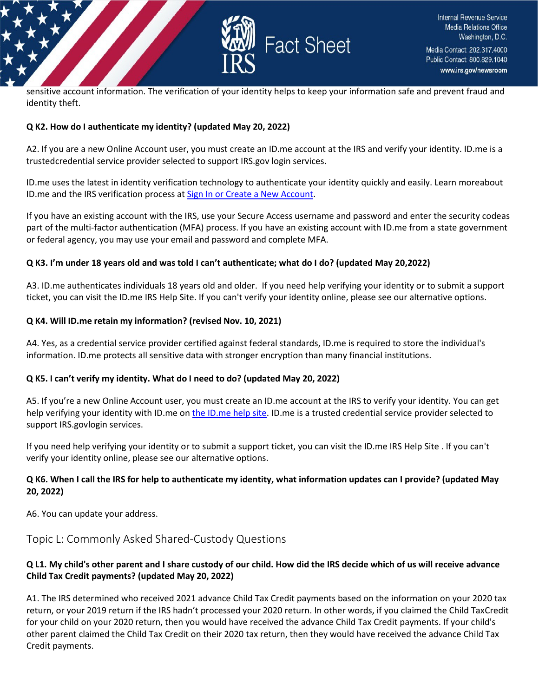

sensitive account information. The verification of your identity helps to keep your information safe and prevent fraud and identity theft.

#### **Q K2. How do I authenticate my identity? (updated May 20, 2022)**

A2. If you are a new Online Account user, you must create an ID.me account at the IRS and verify your identity. ID.me is a trustedcredential service provider selected to support IRS.gov login services.

ID.me uses the latest in identity verification technology to authenticate your identity quickly and easily. Learn moreabout ID.me and the IRS verification process at Sign In [or Create a New](https://sa.www4.irs.gov/secureaccess/ui/?TYPE=33554433&REALMOID=06-0005eaac-e22a-10b8-928e-7c2b0ad00000&GUID&SMAUTHREASON=0&METHOD=GET&SMAGENTNAME=-SM-u0ktItgVFneUJDzkQ7tjvLYXyclDooCJJ7%2bjXGjg3YC5id2x9riHE98hoVgd1BBv&TARGET=-SM-http%3a%2f%2fsa%2ewww4%2eirs%2egov%2fctc%2f) Account.

If you have an existing account with the IRS, use your Secure Access username and password and enter the security codeas part of the multi-factor authentication (MFA) process. If you have an existing account with ID.me from a state government or federal agency, you may use your email and password and complete MFA.

#### **Q K3. I'm under 18 years old and was told I can't authenticate; what do I do? (updated May 20, 2022)**

A3. ID.me authenticates individuals 18 years old and older. If you need help verifying your identity or to submit a support ticket, you can visit the ID.me IRS Help Site. If you can't verify your identity online, please see our alternative options.

#### **Q K4. Will ID.me retain my information? (revised Nov. 10, 2021)**

A4. Yes, as a credential service provider certified against federal standards, ID.me is required to store the individual's information. ID.me protects all sensitive data with stronger encryption than many financial institutions.

#### **Q K5. I can't verify my identity. What do I need to do? (updated May 20, 2022)**

A5. If you're a new Online Account user, you must create an ID.me account at the IRS to verify your identity. You can get help verifying your identity with ID.me on [the ID.me help site. I](https://help.id.me/hc/en-us/categories/1500002213102)D.me is a trusted credential service provider selected to support IRS.govlogin services.

If you need help verifying your identity or to submit a support ticket, you can visit the ID.me IRS Help Site . If you can't verify your identity online, please see our alternative options.

# **Q K6. When I call the IRS for help to authenticate my identity, what information updates can I provide? (updated May 20, 2022)**

A6. You can update your address.

# <span id="page-18-0"></span>Topic L: Commonly Asked Shared-Custody Questions

# **Q L1. My child's other parent and I share custody of our child. How did the IRS decide which of us will receive advance Child Tax Credit payments? (updated May 20, 2022)**

A1. The IRS determined who received 2021 advance Child Tax Credit payments based on the information on your 2020 tax return, or your 2019 return if the IRS hadn't processed your 2020 return. In other words, if you claimed the Child TaxCredit for your child on your 2020 return, then you would have received the advance Child Tax Credit payments. If your child's other parent claimed the Child Tax Credit on their 2020 tax return, then they would have received the advance Child Tax Credit payments.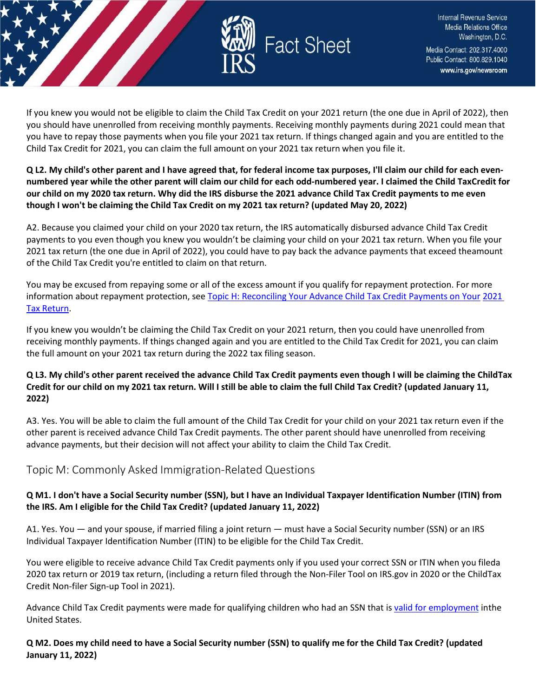

If you knew you would not be eligible to claim the Child Tax Credit on your 2021 return (the one due in April of 2022), then you should have unenrolled from receiving monthly payments. Receiving monthly payments during 2021 could mean that you have to repay those payments when you file your 2021 tax return. If things changed again and you are entitled to the Child Tax Credit for 2021, you can claim the full amount on your 2021 tax return when you file it.

### **Q L2. My child's other parent and I have agreed that, for federal income tax purposes, I'll claim our child for each evennumbered year while the other parent will claim our child for each odd-numbered year. I claimed the Child TaxCredit for our child on my 2020 tax return. Why did the IRS disburse the 2021 advance Child Tax Credit payments to me even though I won't be claiming the Child Tax Credit on my 2021 tax return? (updated May 20, 2022)**

A2. Because you claimed your child on your 2020 tax return, the IRS automatically disbursed advance Child Tax Credit payments to you even though you knew you wouldn't be claiming your child on your 2021 tax return. When you file your 2021 tax return (the one due in April of 2022), you could have to pay back the advance payments that exceed theamount of the Child Tax Credit you're entitled to claim on that return.

You may be excused from repaying some or all of the excess amount if you qualify for repayment protection. For more information about repayment protection, see [Topic H: Reconciling Your Advance Child Tax Credit Payments on Your](https://www.irs.gov/credits-deductions/2021-child-tax-credit-and-advance-child-tax-credit-payments-topic-h-reconciling-your-advance-child-tax-credit-payments-on-your-2021-tax-return) [2021](https://www.irs.gov/credits-deductions/2021-child-tax-credit-and-advance-child-tax-credit-payments-topic-h-reconciling-your-advance-child-tax-credit-payments-on-your-2021-tax-return) Tax [Return.](https://www.irs.gov/credits-deductions/2021-child-tax-credit-and-advance-child-tax-credit-payments-topic-h-reconciling-your-advance-child-tax-credit-payments-on-your-2021-tax-return)

If you knew you wouldn't be claiming the Child Tax Credit on your 2021 return, then you could have unenrolled from receiving monthly payments. If things changed again and you are entitled to the Child Tax Credit for 2021, you can claim the full amount on your 2021 tax return during the 2022 tax filing season.

### **Q L3. My child's other parent received the advance Child Tax Credit payments even though I will be claiming the ChildTax Credit for our child on my 2021 tax return. Will I still be able to claim the full Child Tax Credit? (updated January 11, 2022)**

A3. Yes. You will be able to claim the full amount of the Child Tax Credit for your child on your 2021 tax return even if the other parent is received advance Child Tax Credit payments. The other parent should have unenrolled from receiving advance payments, but their decision will not affect your ability to claim the Child Tax Credit.

# <span id="page-19-0"></span>Topic M: Commonly Asked Immigration-Related Questions

# **Q M1. I don't have a Social Security number (SSN), but I have an Individual Taxpayer Identification Number (ITIN) from the IRS. Am I eligible for the Child Tax Credit? (updated January 11, 2022)**

A1. Yes. You — and your spouse, if married filing a joint return — must have a Social Security number (SSN) or an IRS Individual Taxpayer Identification Number (ITIN) to be eligible for the Child Tax Credit.

You were eligible to receive advance Child Tax Credit payments only if you used your correct SSN or ITIN when you fileda 2020 tax return or 2019 tax return, (including a return filed through the Non-Filer Tool on IRS.gov in 2020 or the ChildTax Credit Non-filer Sign-up Tool in 2021).

Advance Child Tax Credit payments were made for qualifying children who had an SSN that is [valid for employment](https://www.irs.gov/credits-deductions/2021-child-tax-credit-and-advance-child-tax-credit-payments-topic-n-commonly-asked-immigration-related-questions#n3) inthe United States.

**Q M2. Does my child need to have a Social Security number (SSN) to qualify me for the Child Tax Credit? (updated January 11, 2022)**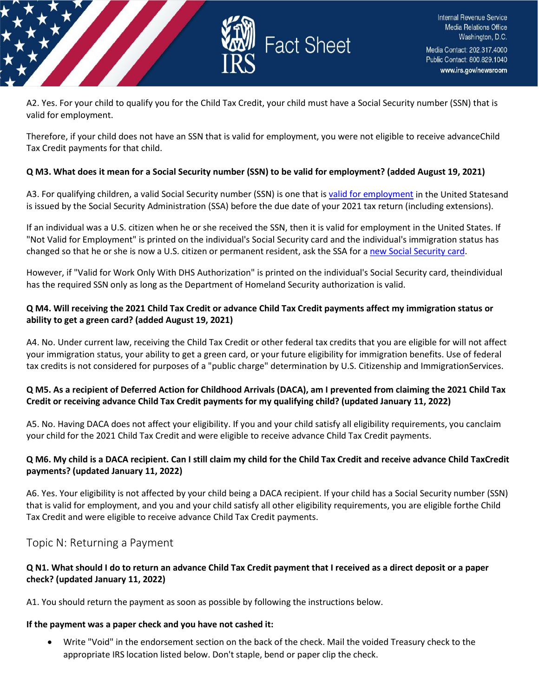

A2. Yes. For your child to qualify you for the Child Tax Credit, your child must have a Social Security number (SSN) that is valid for employment.

Therefore, if your child does not have an SSN that is valid for employment, you were not eligible to receive advanceChild Tax Credit payments for that child.

#### **Q M3. What does it mean for a Social Security number (SSN) to be valid for employment? (added August 19, 2021)**

A3. For qualifying children, a valid Social Security number (SSN) is one that i[s valid for employment](https://www.irs.gov/credits-deductions/2021-child-tax-credit-and-advance-child-tax-credit-payments-topic-n-commonly-asked-immigration-related-questions#n3) in the United Statesand is issued by the Social Security Administration (SSA) before the due date of your 2021 tax return (including extensions).

If an individual was a U.S. citizen when he or she received the SSN, then it is valid for employment in the United States. If "Not Valid for Employment" is printed on the individual's Social Security card and the individual's immigration status has changed so that he or she is now a U.S. citizen or permanent resident, ask the SSA for a [new Social Security card.](https://www.ssa.gov/ssnumber/)

However, if "Valid for Work Only With DHS Authorization" is printed on the individual's Social Security card, theindividual has the required SSN only as long as the Department of Homeland Security authorization is valid.

#### **Q M4. Will receiving the 2021 Child Tax Credit or advance Child Tax Credit payments affect my immigration status or ability to get a green card? (added August 19, 2021)**

A4. No. Under current law, receiving the Child Tax Credit or other federal tax credits that you are eligible for will not affect your immigration status, your ability to get a green card, or your future eligibility for immigration benefits. Use of federal tax credits is not considered for purposes of a "public charge" determination by U.S. Citizenship and ImmigrationServices.

### **Q M5. As a recipient of Deferred Action for Childhood Arrivals (DACA), am I prevented from claiming the 2021 Child Tax Credit or receiving advance Child Tax Credit payments for my qualifying child? (updated January 11, 2022)**

A5. No. Having DACA does not affect your eligibility. If you and your child satisfy all eligibility requirements, you canclaim your child for the 2021 Child Tax Credit and were eligible to receive advance Child Tax Credit payments.

#### **Q M6. My child is a DACA recipient. Can I still claim my child for the Child Tax Credit and receive advance Child TaxCredit payments? (updated January 11, 2022)**

A6. Yes. Your eligibility is not affected by your child being a DACA recipient. If your child has a Social Security number (SSN) that is valid for employment, and you and your child satisfy all other eligibility requirements, you are eligible forthe Child Tax Credit and were eligible to receive advance Child Tax Credit payments.

# <span id="page-20-0"></span>Topic N: Returning a Payment

#### **Q N1. What should I do to return an advance Child Tax Credit payment that I received as a direct deposit or a paper check? (updated January 11, 2022)**

A1. You should return the payment as soon as possible by following the instructions below.

#### **If the payment was a paper check and you have not cashed it:**

• Write "Void" in the endorsement section on the back of the check. Mail the voided Treasury check to the appropriate IRS location listed below. Don't staple, bend or paper clip the check.